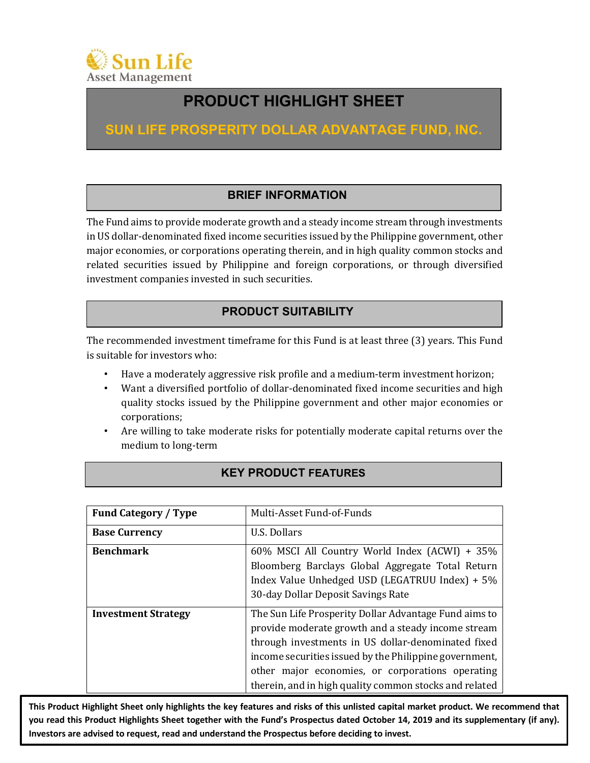

# **PRODUCT HIGHLIGHT SHEET**

**SUN LIFE PROSPERITY DOLLAR ADVANTAGE FUND, INC.**

# **BRIEF INFORMATION**

The Fund aims to provide moderate growth and a steady income stream through investments in US dollar-denominated fixed income securities issued by the Philippine government, other major economies, or corporations operating therein, and in high quality common stocks and related securities issued by Philippine and foreign corporations, or through diversified investment companies invested in such securities.

# **PRODUCT SUITABILITY**

The recommended investment timeframe for this Fund is at least three (3) years. This Fund is suitable for investors who:

- Have a moderately aggressive risk profile and a medium-term investment horizon;
- Want a diversified portfolio of dollar-denominated fixed income securities and high quality stocks issued by the Philippine government and other major economies or corporations;
- Are willing to take moderate risks for potentially moderate capital returns over the medium to long-term

| <b>Fund Category / Type</b> | Multi-Asset Fund-of-Funds                                                                                                                                                                                                                                                                                                                 |
|-----------------------------|-------------------------------------------------------------------------------------------------------------------------------------------------------------------------------------------------------------------------------------------------------------------------------------------------------------------------------------------|
| <b>Base Currency</b>        | U.S. Dollars                                                                                                                                                                                                                                                                                                                              |
| <b>Benchmark</b>            | 60% MSCI All Country World Index (ACWI) + 35%<br>Bloomberg Barclays Global Aggregate Total Return<br>Index Value Unhedged USD (LEGATRUU Index) + 5%<br>30-day Dollar Deposit Savings Rate                                                                                                                                                 |
| <b>Investment Strategy</b>  | The Sun Life Prosperity Dollar Advantage Fund aims to<br>provide moderate growth and a steady income stream<br>through investments in US dollar-denominated fixed<br>income securities issued by the Philippine government,<br>other major economies, or corporations operating<br>therein, and in high quality common stocks and related |

**This Product Highlight Sheet only highlights the key features and risks of this unlisted capital market product. We recommend that you read this Product Highlights Sheet together with the Fund's Prospectus dated October 14, 2019 and its supplementary (if any). Investors are advised to request, read and understand the Prospectus before deciding to invest.**

### **KEY PRODUCT FEATURES**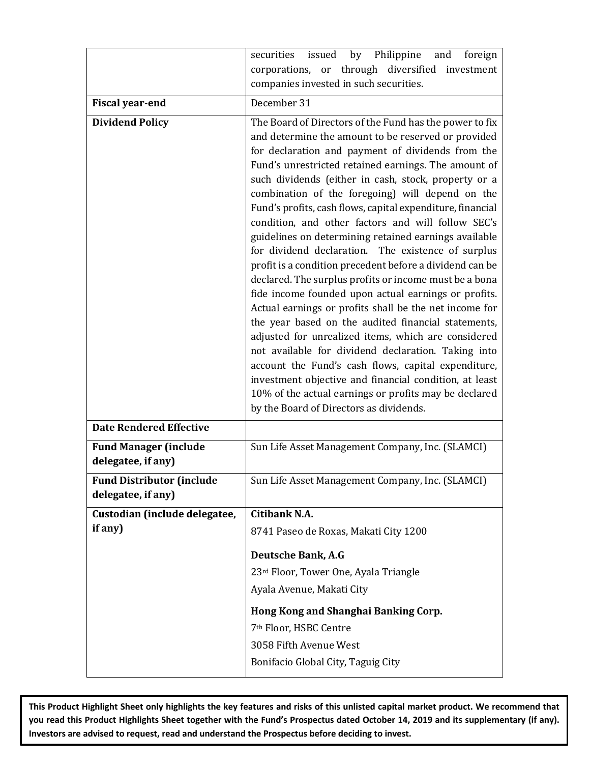|                                                        | by Philippine<br>securities issued<br>and<br>foreign<br>corporations, or through diversified<br>investment                                                                                                                                                                                                                                                                                                                                                                                                                                                                                                                                                                                                                                                                                                                                                                                                                                                                                                                                                                                                                                                                                                   |
|--------------------------------------------------------|--------------------------------------------------------------------------------------------------------------------------------------------------------------------------------------------------------------------------------------------------------------------------------------------------------------------------------------------------------------------------------------------------------------------------------------------------------------------------------------------------------------------------------------------------------------------------------------------------------------------------------------------------------------------------------------------------------------------------------------------------------------------------------------------------------------------------------------------------------------------------------------------------------------------------------------------------------------------------------------------------------------------------------------------------------------------------------------------------------------------------------------------------------------------------------------------------------------|
|                                                        | companies invested in such securities.                                                                                                                                                                                                                                                                                                                                                                                                                                                                                                                                                                                                                                                                                                                                                                                                                                                                                                                                                                                                                                                                                                                                                                       |
| <b>Fiscal year-end</b>                                 | December 31                                                                                                                                                                                                                                                                                                                                                                                                                                                                                                                                                                                                                                                                                                                                                                                                                                                                                                                                                                                                                                                                                                                                                                                                  |
| <b>Dividend Policy</b>                                 | The Board of Directors of the Fund has the power to fix<br>and determine the amount to be reserved or provided<br>for declaration and payment of dividends from the<br>Fund's unrestricted retained earnings. The amount of<br>such dividends (either in cash, stock, property or a<br>combination of the foregoing) will depend on the<br>Fund's profits, cash flows, capital expenditure, financial<br>condition, and other factors and will follow SEC's<br>guidelines on determining retained earnings available<br>for dividend declaration. The existence of surplus<br>profit is a condition precedent before a dividend can be<br>declared. The surplus profits or income must be a bona<br>fide income founded upon actual earnings or profits.<br>Actual earnings or profits shall be the net income for<br>the year based on the audited financial statements,<br>adjusted for unrealized items, which are considered<br>not available for dividend declaration. Taking into<br>account the Fund's cash flows, capital expenditure,<br>investment objective and financial condition, at least<br>10% of the actual earnings or profits may be declared<br>by the Board of Directors as dividends. |
| <b>Date Rendered Effective</b>                         |                                                                                                                                                                                                                                                                                                                                                                                                                                                                                                                                                                                                                                                                                                                                                                                                                                                                                                                                                                                                                                                                                                                                                                                                              |
| <b>Fund Manager (include</b><br>delegatee, if any)     | Sun Life Asset Management Company, Inc. (SLAMCI)                                                                                                                                                                                                                                                                                                                                                                                                                                                                                                                                                                                                                                                                                                                                                                                                                                                                                                                                                                                                                                                                                                                                                             |
| <b>Fund Distributor (include</b><br>delegatee, if any) | Sun Life Asset Management Company, Inc. (SLAMCI)                                                                                                                                                                                                                                                                                                                                                                                                                                                                                                                                                                                                                                                                                                                                                                                                                                                                                                                                                                                                                                                                                                                                                             |
| Custodian (include delegatee,                          | Citibank N.A.                                                                                                                                                                                                                                                                                                                                                                                                                                                                                                                                                                                                                                                                                                                                                                                                                                                                                                                                                                                                                                                                                                                                                                                                |
| if any)                                                | 8741 Paseo de Roxas, Makati City 1200                                                                                                                                                                                                                                                                                                                                                                                                                                                                                                                                                                                                                                                                                                                                                                                                                                                                                                                                                                                                                                                                                                                                                                        |
|                                                        | <b>Deutsche Bank, A.G</b><br>23rd Floor, Tower One, Ayala Triangle<br>Ayala Avenue, Makati City                                                                                                                                                                                                                                                                                                                                                                                                                                                                                                                                                                                                                                                                                                                                                                                                                                                                                                                                                                                                                                                                                                              |
|                                                        | Hong Kong and Shanghai Banking Corp.<br>7 <sup>th</sup> Floor, HSBC Centre<br>3058 Fifth Avenue West<br>Bonifacio Global City, Taguig City                                                                                                                                                                                                                                                                                                                                                                                                                                                                                                                                                                                                                                                                                                                                                                                                                                                                                                                                                                                                                                                                   |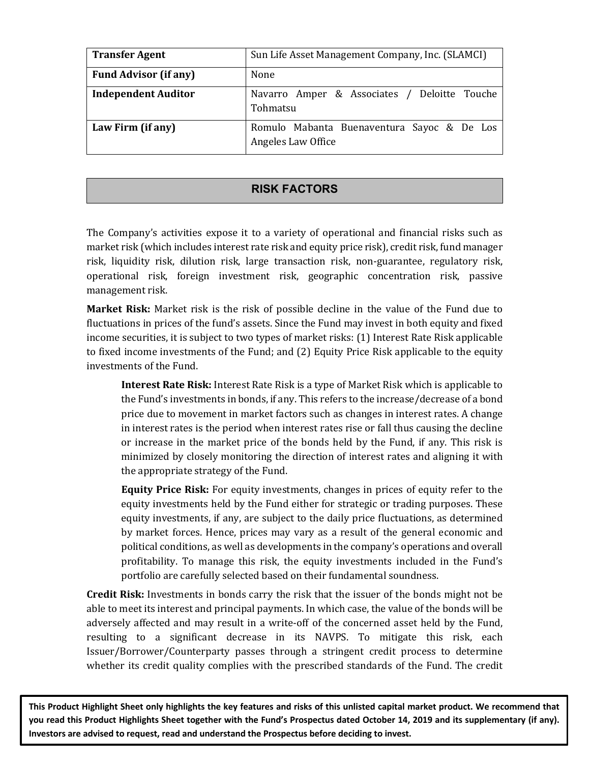| <b>Transfer Agent</b>        | Sun Life Asset Management Company, Inc. (SLAMCI)                 |  |  |  |  |  |  |
|------------------------------|------------------------------------------------------------------|--|--|--|--|--|--|
| <b>Fund Advisor (if any)</b> | None                                                             |  |  |  |  |  |  |
| <b>Independent Auditor</b>   | Navarro Amper & Associates / Deloitte Touche<br>Tohmatsu         |  |  |  |  |  |  |
| Law Firm (if any)            | Romulo Mabanta Buenaventura Sayoc & De Los<br>Angeles Law Office |  |  |  |  |  |  |

### **RISK FACTORS**

The Company's activities expose it to a variety of operational and financial risks such as market risk (which includes interest rate risk and equity price risk), credit risk, fund manager risk, liquidity risk, dilution risk, large transaction risk, non-guarantee, regulatory risk, operational risk, foreign investment risk, geographic concentration risk, passive management risk.

**Market Risk:** Market risk is the risk of possible decline in the value of the Fund due to fluctuations in prices of the fund's assets. Since the Fund may invest in both equity and fixed income securities, it is subject to two types of market risks: (1) Interest Rate Risk applicable to fixed income investments of the Fund; and (2) Equity Price Risk applicable to the equity investments of the Fund.

**Interest Rate Risk:** Interest Rate Risk is a type of Market Risk which is applicable to the Fund's investments in bonds, if any. This refers to the increase/decrease of a bond price due to movement in market factors such as changes in interest rates. A change in interest rates is the period when interest rates rise or fall thus causing the decline or increase in the market price of the bonds held by the Fund, if any. This risk is minimized by closely monitoring the direction of interest rates and aligning it with the appropriate strategy of the Fund.

**Equity Price Risk:** For equity investments, changes in prices of equity refer to the equity investments held by the Fund either for strategic or trading purposes. These equity investments, if any, are subject to the daily price fluctuations, as determined by market forces. Hence, prices may vary as a result of the general economic and political conditions, as well as developments in the company's operations and overall profitability. To manage this risk, the equity investments included in the Fund's portfolio are carefully selected based on their fundamental soundness.

**Credit Risk:** Investments in bonds carry the risk that the issuer of the bonds might not be able to meet its interest and principal payments. In which case, the value of the bonds will be adversely affected and may result in a write-off of the concerned asset held by the Fund, resulting to a significant decrease in its NAVPS. To mitigate this risk, each Issuer/Borrower/Counterparty passes through a stringent credit process to determine whether its credit quality complies with the prescribed standards of the Fund. The credit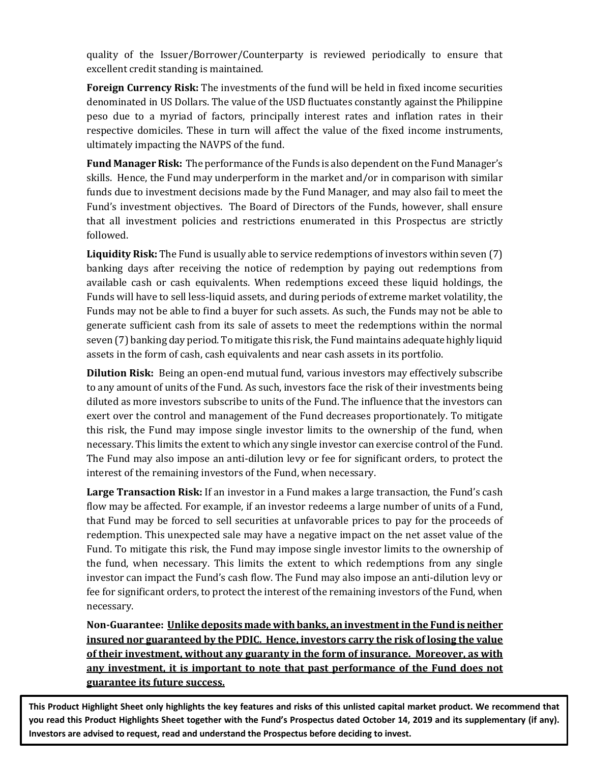quality of the Issuer/Borrower/Counterparty is reviewed periodically to ensure that excellent credit standing is maintained.

**Foreign Currency Risk:** The investments of the fund will be held in fixed income securities denominated in US Dollars. The value of the USD fluctuates constantly against the Philippine peso due to a myriad of factors, principally interest rates and inflation rates in their respective domiciles. These in turn will affect the value of the fixed income instruments, ultimately impacting the NAVPS of the fund.

**Fund Manager Risk:** The performance of the Funds is also dependent on the Fund Manager's skills. Hence, the Fund may underperform in the market and/or in comparison with similar funds due to investment decisions made by the Fund Manager, and may also fail to meet the Fund's investment objectives. The Board of Directors of the Funds, however, shall ensure that all investment policies and restrictions enumerated in this Prospectus are strictly followed. 

**Liquidity Risk:** The Fund is usually able to service redemptions of investors within seven (7) banking days after receiving the notice of redemption by paying out redemptions from available cash or cash equivalents. When redemptions exceed these liquid holdings, the Funds will have to sell less-liquid assets, and during periods of extreme market volatility, the Funds may not be able to find a buyer for such assets. As such, the Funds may not be able to generate sufficient cash from its sale of assets to meet the redemptions within the normal seven (7) banking day period. To mitigate this risk, the Fund maintains adequate highly liquid assets in the form of cash, cash equivalents and near cash assets in its portfolio.

**Dilution Risk:** Being an open-end mutual fund, various investors may effectively subscribe to any amount of units of the Fund. As such, investors face the risk of their investments being diluted as more investors subscribe to units of the Fund. The influence that the investors can exert over the control and management of the Fund decreases proportionately. To mitigate this risk, the Fund may impose single investor limits to the ownership of the fund, when necessary. This limits the extent to which any single investor can exercise control of the Fund. The Fund may also impose an anti-dilution levy or fee for significant orders, to protect the interest of the remaining investors of the Fund, when necessary.

Large Transaction Risk: If an investor in a Fund makes a large transaction, the Fund's cash flow may be affected. For example, if an investor redeems a large number of units of a Fund, that Fund may be forced to sell securities at unfavorable prices to pay for the proceeds of redemption. This unexpected sale may have a negative impact on the net asset value of the Fund. To mitigate this risk, the Fund may impose single investor limits to the ownership of the fund, when necessary. This limits the extent to which redemptions from any single investor can impact the Fund's cash flow. The Fund may also impose an anti-dilution levy or fee for significant orders, to protect the interest of the remaining investors of the Fund, when necessary.

Non-Guarantee: Unlike deposits made with banks, an investment in the Fund is neither **insured nor guaranteed by the PDIC. Hence, investors carry the risk of losing the value** of their investment, without any guaranty in the form of insurance. Moreover, as with any investment, it is important to note that past performance of the Fund does not **guarantee its future success.**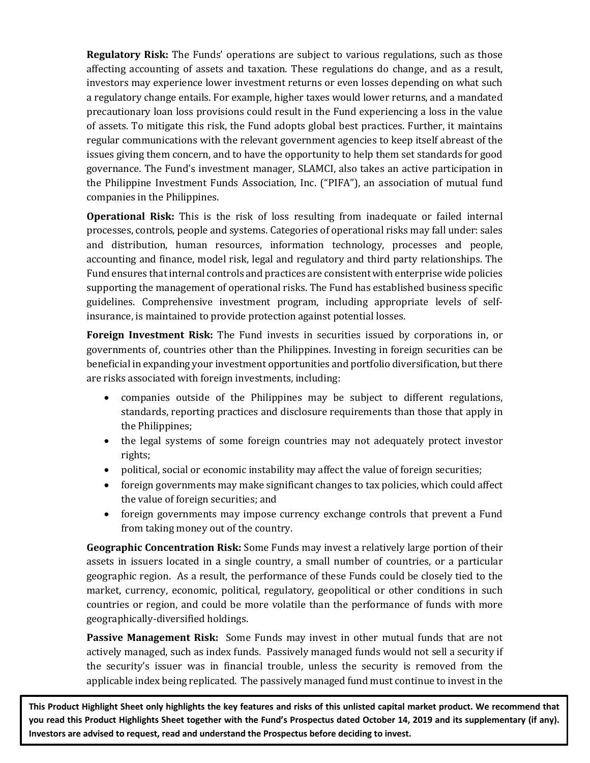**Regulatory Risk:** The Funds' operations are subject to various regulations, such as those affecting accounting of assets and taxation. These regulations do change, and as a result, investors may experience lower investment returns or even losses depending on what such a regulatory change entails. For example, higher taxes would lower returns, and a mandated precautionary loan loss provisions could result in the Fund experiencing a loss in the value of assets. To mitigate this risk, the Fund adopts global best practices. Further, it maintains regular communications with the relevant government agencies to keep itself abreast of the issues giving them concern, and to have the opportunity to help them set standards for good governance. The Fund's investment manager, SLAMCI, also takes an active participation in the Philippine Investment Funds Association, Inc. ("PIFA"), an association of mutual fund companies in the Philippines.

**Operational Risk:** This is the risk of loss resulting from inadequate or failed internal processes, controls, people and systems. Categories of operational risks may fall under: sales and distribution, human resources, information technology, processes and people, accounting and finance, model risk, legal and regulatory and third party relationships. The Fund ensures that internal controls and practices are consistent with enterprise wide policies supporting the management of operational risks. The Fund has established business specific guidelines. Comprehensive investment program, including appropriate levels of selfinsurance, is maintained to provide protection against potential losses.

**Foreign Investment Risk:** The Fund invests in securities issued by corporations in, or governments of, countries other than the Philippines. Investing in foreign securities can be beneficial in expanding your investment opportunities and portfolio diversification, but there are risks associated with foreign investments, including:

- companies outside of the Philippines may be subject to different regulations, standards, reporting practices and disclosure requirements than those that apply in the Philippines;
- the legal systems of some foreign countries may not adequately protect investor rights;
- political, social or economic instability may affect the value of foreign securities;
- foreign governments may make significant changes to tax policies, which could affect the value of foreign securities; and
- foreign governments may impose currency exchange controls that prevent a Fund from taking money out of the country.

**Geographic Concentration Risk:** Some Funds may invest a relatively large portion of their assets in issuers located in a single country, a small number of countries, or a particular geographic region. As a result, the performance of these Funds could be closely tied to the market, currency, economic, political, regulatory, geopolitical or other conditions in such countries or region, and could be more volatile than the performance of funds with more geographically-diversified holdings. 

**Passive Management Risk:** Some Funds may invest in other mutual funds that are not actively managed, such as index funds. Passively managed funds would not sell a security if the security's issuer was in financial trouble, unless the security is removed from the applicable index being replicated. The passively managed fund must continue to invest in the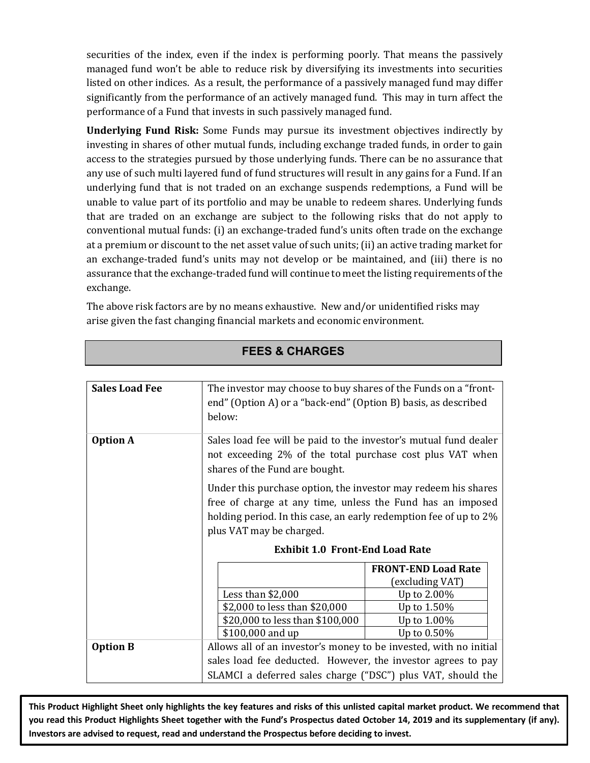securities of the index, even if the index is performing poorly. That means the passively managed fund won't be able to reduce risk by diversifying its investments into securities listed on other indices. As a result, the performance of a passively managed fund may differ significantly from the performance of an actively managed fund. This may in turn affect the performance of a Fund that invests in such passively managed fund.

**Underlying Fund Risk:** Some Funds may pursue its investment objectives indirectly by investing in shares of other mutual funds, including exchange traded funds, in order to gain access to the strategies pursued by those underlying funds. There can be no assurance that any use of such multi layered fund of fund structures will result in any gains for a Fund. If an underlying fund that is not traded on an exchange suspends redemptions, a Fund will be unable to value part of its portfolio and may be unable to redeem shares. Underlying funds that are traded on an exchange are subject to the following risks that do not apply to conventional mutual funds: (i) an exchange-traded fund's units often trade on the exchange at a premium or discount to the net asset value of such units; (ii) an active trading market for an exchange-traded fund's units may not develop or be maintained, and (iii) there is no assurance that the exchange-traded fund will continue to meet the listing requirements of the exchange.

The above risk factors are by no means exhaustive. New and/or unidentified risks may arise given the fast changing financial markets and economic environment.

| <b>Sales Load Fee</b> | The investor may choose to buy shares of the Funds on a "front-   |                            |  |  |  |  |  |  |
|-----------------------|-------------------------------------------------------------------|----------------------------|--|--|--|--|--|--|
|                       |                                                                   |                            |  |  |  |  |  |  |
|                       | end" (Option A) or a "back-end" (Option B) basis, as described    |                            |  |  |  |  |  |  |
|                       | below:                                                            |                            |  |  |  |  |  |  |
|                       |                                                                   |                            |  |  |  |  |  |  |
| <b>Option A</b>       | Sales load fee will be paid to the investor's mutual fund dealer  |                            |  |  |  |  |  |  |
|                       | not exceeding 2% of the total purchase cost plus VAT when         |                            |  |  |  |  |  |  |
|                       | shares of the Fund are bought.                                    |                            |  |  |  |  |  |  |
|                       | Under this purchase option, the investor may redeem his shares    |                            |  |  |  |  |  |  |
|                       | free of charge at any time, unless the Fund has an imposed        |                            |  |  |  |  |  |  |
|                       | holding period. In this case, an early redemption fee of up to 2% |                            |  |  |  |  |  |  |
|                       | plus VAT may be charged.                                          |                            |  |  |  |  |  |  |
|                       |                                                                   |                            |  |  |  |  |  |  |
|                       | <b>Exhibit 1.0 Front-End Load Rate</b>                            |                            |  |  |  |  |  |  |
|                       |                                                                   | <b>FRONT-END Load Rate</b> |  |  |  |  |  |  |
|                       |                                                                   | (excluding VAT)            |  |  |  |  |  |  |
|                       | Less than $$2,000$                                                | Up to 2.00%                |  |  |  |  |  |  |
|                       | \$2,000 to less than \$20,000                                     | Up to 1.50%                |  |  |  |  |  |  |
|                       | \$20,000 to less than \$100,000<br>Up to 1.00%                    |                            |  |  |  |  |  |  |
|                       | \$100,000 and up<br>Up to 0.50%                                   |                            |  |  |  |  |  |  |
| <b>Option B</b>       | Allows all of an investor's money to be invested, with no initial |                            |  |  |  |  |  |  |
|                       | sales load fee deducted. However, the investor agrees to pay      |                            |  |  |  |  |  |  |
|                       | SLAMCI a deferred sales charge ("DSC") plus VAT, should the       |                            |  |  |  |  |  |  |

**FEES & CHARGES**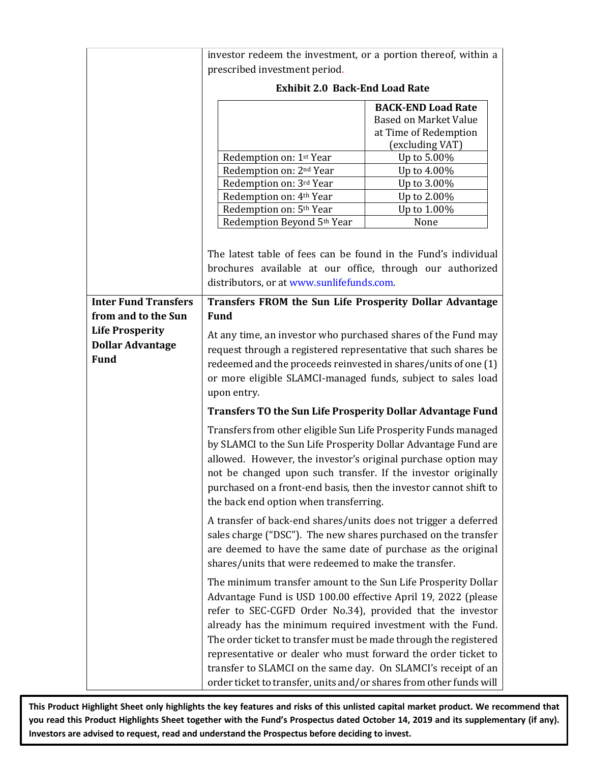|                                                                  | investor redeem the investment, or a portion thereof, within a                                                                                                                                                                                                                                                                                                                                                                                                                                                                                                                                                                                   |                                                                                                                                                                                          |  |  |  |  |  |
|------------------------------------------------------------------|--------------------------------------------------------------------------------------------------------------------------------------------------------------------------------------------------------------------------------------------------------------------------------------------------------------------------------------------------------------------------------------------------------------------------------------------------------------------------------------------------------------------------------------------------------------------------------------------------------------------------------------------------|------------------------------------------------------------------------------------------------------------------------------------------------------------------------------------------|--|--|--|--|--|
|                                                                  | prescribed investment period.                                                                                                                                                                                                                                                                                                                                                                                                                                                                                                                                                                                                                    |                                                                                                                                                                                          |  |  |  |  |  |
|                                                                  | <b>Exhibit 2.0 Back-End Load Rate</b>                                                                                                                                                                                                                                                                                                                                                                                                                                                                                                                                                                                                            |                                                                                                                                                                                          |  |  |  |  |  |
|                                                                  | Redemption on: 1st Year<br>Redemption on: 2 <sup>nd</sup> Year<br>Redemption on: 3rd Year<br>Redemption on: 4 <sup>th</sup> Year<br>Redemption on: 5 <sup>th</sup> Year<br>Redemption Beyond 5th Year                                                                                                                                                                                                                                                                                                                                                                                                                                            | <b>BACK-END Load Rate</b><br><b>Based on Market Value</b><br>at Time of Redemption<br>(excluding VAT)<br>Up to 5.00%<br>Up to 4.00%<br>Up to 3.00%<br>Up to 2.00%<br>Up to 1.00%<br>None |  |  |  |  |  |
|                                                                  | The latest table of fees can be found in the Fund's individual<br>brochures available at our office, through our authorized<br>distributors, or at www.sunlifefunds.com.                                                                                                                                                                                                                                                                                                                                                                                                                                                                         |                                                                                                                                                                                          |  |  |  |  |  |
| <b>Inter Fund Transfers</b><br>from and to the Sun               | Transfers FROM the Sun Life Prosperity Dollar Advantage<br><b>Fund</b>                                                                                                                                                                                                                                                                                                                                                                                                                                                                                                                                                                           |                                                                                                                                                                                          |  |  |  |  |  |
| <b>Life Prosperity</b><br><b>Dollar Advantage</b><br><b>Fund</b> | At any time, an investor who purchased shares of the Fund may<br>request through a registered representative that such shares be<br>redeemed and the proceeds reinvested in shares/units of one (1)<br>or more eligible SLAMCI-managed funds, subject to sales load<br>upon entry.                                                                                                                                                                                                                                                                                                                                                               |                                                                                                                                                                                          |  |  |  |  |  |
|                                                                  | <b>Transfers TO the Sun Life Prosperity Dollar Advantage Fund</b>                                                                                                                                                                                                                                                                                                                                                                                                                                                                                                                                                                                |                                                                                                                                                                                          |  |  |  |  |  |
|                                                                  | Transfers from other eligible Sun Life Prosperity Funds managed<br>by SLAMCI to the Sun Life Prosperity Dollar Advantage Fund are<br>allowed. However, the investor's original purchase option may<br>not be changed upon such transfer. If the investor originally<br>purchased on a front-end basis, then the investor cannot shift to<br>the back end option when transferring.<br>A transfer of back-end shares/units does not trigger a deferred<br>sales charge ("DSC"). The new shares purchased on the transfer<br>are deemed to have the same date of purchase as the original<br>shares/units that were redeemed to make the transfer. |                                                                                                                                                                                          |  |  |  |  |  |
|                                                                  |                                                                                                                                                                                                                                                                                                                                                                                                                                                                                                                                                                                                                                                  |                                                                                                                                                                                          |  |  |  |  |  |
|                                                                  | The minimum transfer amount to the Sun Life Prosperity Dollar<br>Advantage Fund is USD 100.00 effective April 19, 2022 (please<br>refer to SEC-CGFD Order No.34), provided that the investor<br>already has the minimum required investment with the Fund.<br>The order ticket to transfer must be made through the registered<br>representative or dealer who must forward the order ticket to<br>transfer to SLAMCI on the same day. On SLAMCI's receipt of an<br>order ticket to transfer, units and/or shares from other funds will                                                                                                          |                                                                                                                                                                                          |  |  |  |  |  |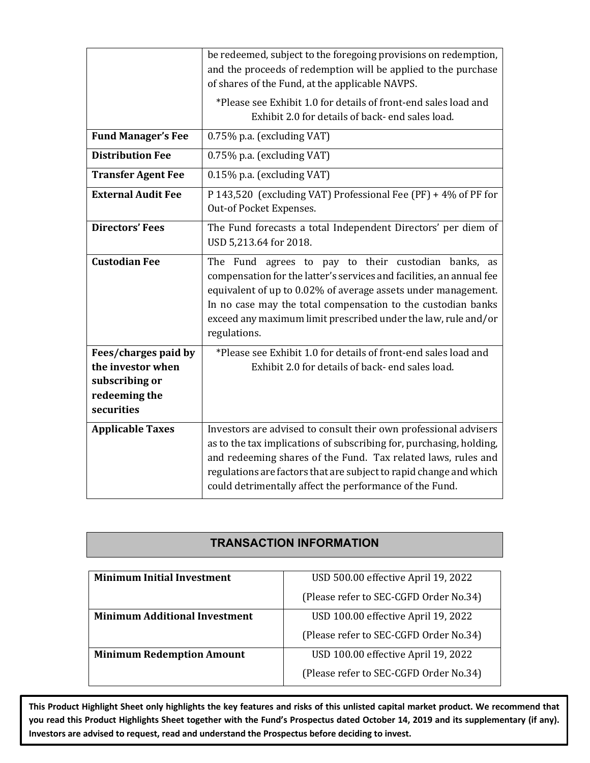|                                                                                            | be redeemed, subject to the foregoing provisions on redemption,<br>and the proceeds of redemption will be applied to the purchase<br>of shares of the Fund, at the applicable NAVPS.                                                                                                                                                           |
|--------------------------------------------------------------------------------------------|------------------------------------------------------------------------------------------------------------------------------------------------------------------------------------------------------------------------------------------------------------------------------------------------------------------------------------------------|
|                                                                                            | *Please see Exhibit 1.0 for details of front-end sales load and<br>Exhibit 2.0 for details of back- end sales load.                                                                                                                                                                                                                            |
| <b>Fund Manager's Fee</b>                                                                  | 0.75% p.a. (excluding VAT)                                                                                                                                                                                                                                                                                                                     |
| <b>Distribution Fee</b>                                                                    | 0.75% p.a. (excluding VAT)                                                                                                                                                                                                                                                                                                                     |
| <b>Transfer Agent Fee</b>                                                                  | 0.15% p.a. (excluding VAT)                                                                                                                                                                                                                                                                                                                     |
| <b>External Audit Fee</b>                                                                  | P 143,520 (excluding VAT) Professional Fee (PF) + 4% of PF for<br>Out-of Pocket Expenses.                                                                                                                                                                                                                                                      |
| <b>Directors' Fees</b>                                                                     | The Fund forecasts a total Independent Directors' per diem of<br>USD 5,213.64 for 2018.                                                                                                                                                                                                                                                        |
| <b>Custodian Fee</b>                                                                       | The Fund agrees to pay to their custodian banks, as<br>compensation for the latter's services and facilities, an annual fee<br>equivalent of up to 0.02% of average assets under management.<br>In no case may the total compensation to the custodian banks<br>exceed any maximum limit prescribed under the law, rule and/or<br>regulations. |
| Fees/charges paid by<br>the investor when<br>subscribing or<br>redeeming the<br>securities | *Please see Exhibit 1.0 for details of front-end sales load and<br>Exhibit 2.0 for details of back- end sales load.                                                                                                                                                                                                                            |
| <b>Applicable Taxes</b>                                                                    | Investors are advised to consult their own professional advisers<br>as to the tax implications of subscribing for, purchasing, holding,<br>and redeeming shares of the Fund. Tax related laws, rules and<br>regulations are factors that are subject to rapid change and which<br>could detrimentally affect the performance of the Fund.      |

### **TRANSACTION INFORMATION**

| <b>Minimum Initial Investment</b>    | USD 500.00 effective April 19, 2022    |  |  |  |
|--------------------------------------|----------------------------------------|--|--|--|
|                                      | (Please refer to SEC-CGFD Order No.34) |  |  |  |
| <b>Minimum Additional Investment</b> | USD 100.00 effective April 19, 2022    |  |  |  |
|                                      | (Please refer to SEC-CGFD Order No.34) |  |  |  |
| <b>Minimum Redemption Amount</b>     | USD 100.00 effective April 19, 2022    |  |  |  |
|                                      | (Please refer to SEC-CGFD Order No.34) |  |  |  |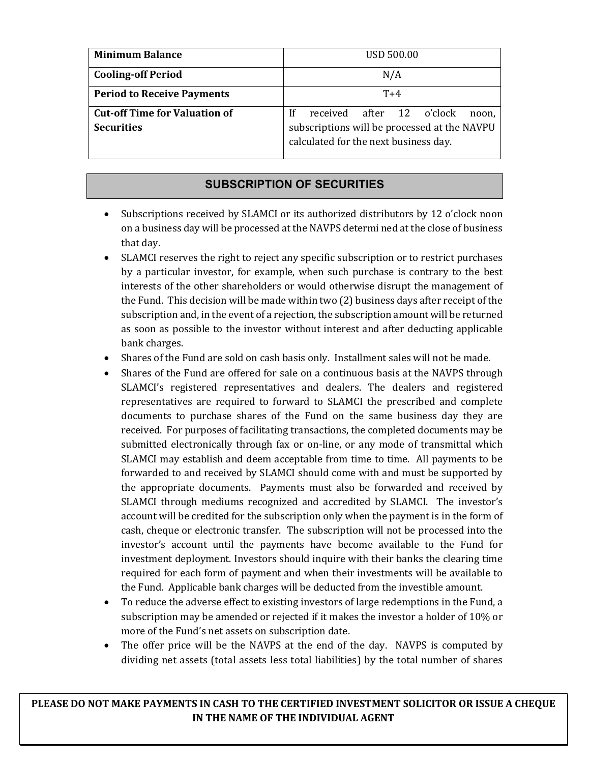| <b>Minimum Balance</b>               | <b>USD 500.00</b>                                                                     |  |  |  |  |  |  |
|--------------------------------------|---------------------------------------------------------------------------------------|--|--|--|--|--|--|
| <b>Cooling-off Period</b>            | N/A                                                                                   |  |  |  |  |  |  |
| <b>Period to Receive Payments</b>    | $T+4$                                                                                 |  |  |  |  |  |  |
| <b>Cut-off Time for Valuation of</b> | received after 12 o'clock<br>If<br>noon.                                              |  |  |  |  |  |  |
| <b>Securities</b>                    | subscriptions will be processed at the NAVPU<br>calculated for the next business day. |  |  |  |  |  |  |

## **SUBSCRIPTION OF SECURITIES**

- Subscriptions received by SLAMCI or its authorized distributors by 12 o'clock noon on a business day will be processed at the NAVPS determi ned at the close of business that day.
- SLAMCI reserves the right to reject any specific subscription or to restrict purchases by a particular investor, for example, when such purchase is contrary to the best interests of the other shareholders or would otherwise disrupt the management of the Fund. This decision will be made within two  $(2)$  business days after receipt of the subscription and, in the event of a rejection, the subscription amount will be returned as soon as possible to the investor without interest and after deducting applicable bank charges.
- Shares of the Fund are sold on cash basis only. Installment sales will not be made.
- Shares of the Fund are offered for sale on a continuous basis at the NAVPS through SLAMCI's registered representatives and dealers. The dealers and registered representatives are required to forward to SLAMCI the prescribed and complete documents to purchase shares of the Fund on the same business day they are received. For purposes of facilitating transactions, the completed documents may be submitted electronically through fax or on-line, or any mode of transmittal which SLAMCI may establish and deem acceptable from time to time. All payments to be forwarded to and received by SLAMCI should come with and must be supported by the appropriate documents. Payments must also be forwarded and received by SLAMCI through mediums recognized and accredited by SLAMCI. The investor's account will be credited for the subscription only when the payment is in the form of cash, cheque or electronic transfer. The subscription will not be processed into the investor's account until the payments have become available to the Fund for investment deployment. Investors should inquire with their banks the clearing time required for each form of payment and when their investments will be available to the Fund. Applicable bank charges will be deducted from the investible amount.
- To reduce the adverse effect to existing investors of large redemptions in the Fund, a subscription may be amended or rejected if it makes the investor a holder of  $10\%$  or more of the Fund's net assets on subscription date.
- The offer price will be the NAVPS at the end of the day. NAVPS is computed by dividing net assets (total assets less total liabilities) by the total number of shares

PLEASE DO NOT MAKE PAYMENTS IN CASH TO THE CERTIFIED INVESTMENT SOLICITOR OR ISSUE A CHEQUE **IN THE NAME OF THE INDIVIDUAL AGENT**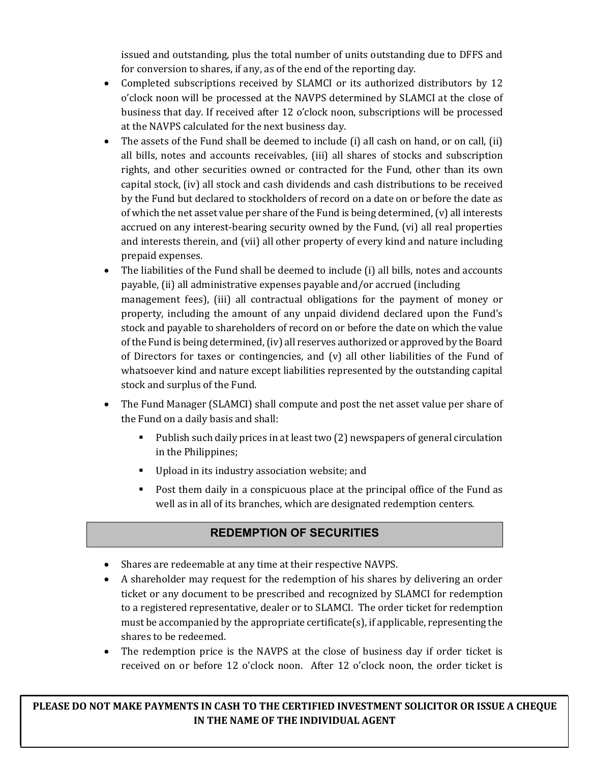issued and outstanding, plus the total number of units outstanding due to DFFS and for conversion to shares, if any, as of the end of the reporting day.

- Completed subscriptions received by SLAMCI or its authorized distributors by 12 o'clock noon will be processed at the NAVPS determined by SLAMCI at the close of business that day. If received after 12 o'clock noon, subscriptions will be processed at the NAVPS calculated for the next business day.
- The assets of the Fund shall be deemed to include (i) all cash on hand, or on call, (ii) all bills, notes and accounts receivables, (iii) all shares of stocks and subscription rights, and other securities owned or contracted for the Fund, other than its own capital stock,  $(iv)$  all stock and cash dividends and cash distributions to be received by the Fund but declared to stockholders of record on a date on or before the date as of which the net asset value per share of the Fund is being determined,  $\alpha$  all interests accrued on any interest-bearing security owned by the Fund, (vi) all real properties and interests therein, and (vii) all other property of every kind and nature including prepaid expenses.
- The liabilities of the Fund shall be deemed to include (i) all bills, notes and accounts payable, (ii) all administrative expenses payable and/or accrued (including management fees), (iii) all contractual obligations for the payment of money or property, including the amount of any unpaid dividend declared upon the Fund's stock and payable to shareholders of record on or before the date on which the value of the Fund is being determined, (iv) all reserves authorized or approved by the Board of Directors for taxes or contingencies, and  $(v)$  all other liabilities of the Fund of whatsoever kind and nature except liabilities represented by the outstanding capital stock and surplus of the Fund.
- The Fund Manager (SLAMCI) shall compute and post the net asset value per share of the Fund on a daily basis and shall:
	- Publish such daily prices in at least two (2) newspapers of general circulation in the Philippines;
	- Upload in its industry association website; and
	- Post them daily in a conspicuous place at the principal office of the Fund as well as in all of its branches, which are designated redemption centers.

# **REDEMPTION OF SECURITIES**

- Shares are redeemable at any time at their respective NAVPS.
- A shareholder may request for the redemption of his shares by delivering an order ticket or any document to be prescribed and recognized by SLAMCI for redemption to a registered representative, dealer or to SLAMCI. The order ticket for redemption must be accompanied by the appropriate certificate(s), if applicable, representing the shares to be redeemed.
- The redemption price is the NAVPS at the close of business day if order ticket is received on or before 12 o'clock noon. After 12 o'clock noon, the order ticket is

PLEASE DO NOT MAKE PAYMENTS IN CASH TO THE CERTIFIED INVESTMENT SOLICITOR OR ISSUE A CHEQUE **IN THE NAME OF THE INDIVIDUAL AGENT**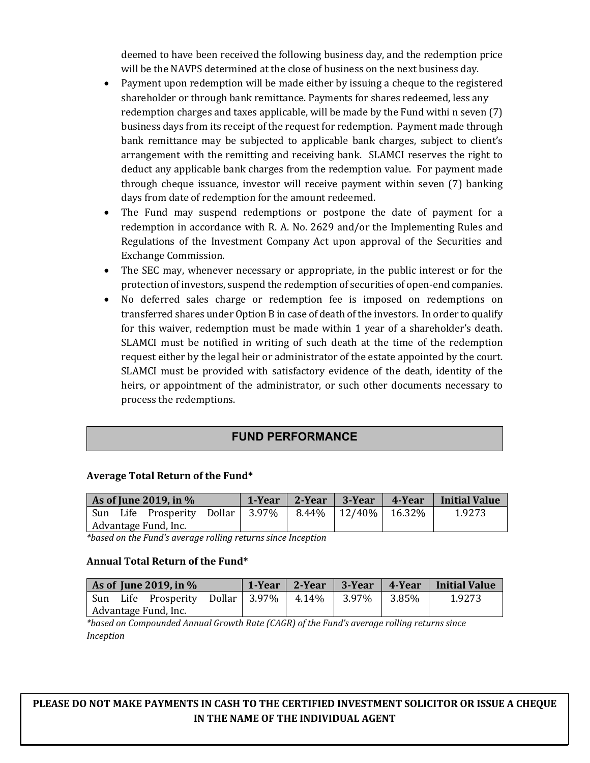deemed to have been received the following business day, and the redemption price will be the NAVPS determined at the close of business on the next business day.

- Payment upon redemption will be made either by issuing a cheque to the registered shareholder or through bank remittance. Payments for shares redeemed, less any redemption charges and taxes applicable, will be made by the Fund withi n seven  $(7)$ business days from its receipt of the request for redemption. Payment made through bank remittance may be subjected to applicable bank charges, subject to client's arrangement with the remitting and receiving bank. SLAMCI reserves the right to deduct any applicable bank charges from the redemption value. For payment made through cheque issuance, investor will receive payment within seven (7) banking days from date of redemption for the amount redeemed.
- The Fund may suspend redemptions or postpone the date of payment for a redemption in accordance with R. A. No. 2629 and/or the Implementing Rules and Regulations of the Investment Company Act upon approval of the Securities and Exchange Commission.
- The SEC may, whenever necessary or appropriate, in the public interest or for the protection of investors, suspend the redemption of securities of open-end companies.
- No deferred sales charge or redemption fee is imposed on redemptions on transferred shares under Option B in case of death of the investors. In order to qualify for this waiver, redemption must be made within 1 year of a shareholder's death. SLAMCI must be notified in writing of such death at the time of the redemption request either by the legal heir or administrator of the estate appointed by the court. SLAMCI must be provided with satisfactory evidence of the death, identity of the heirs, or appointment of the administrator, or such other documents necessary to process the redemptions.

### **FUND PERFORMANCE**

#### Average Total Return of the Fund\*

| As of June 2019, in $\%$ |  |                                                              |  | 1-Year $\vert$ 2-Year $\vert$ | 3-Year | 4-Year | <b>Initial Value</b> |
|--------------------------|--|--------------------------------------------------------------|--|-------------------------------|--------|--------|----------------------|
|                          |  | Sun Life Prosperity Dollar   3.97%   8.44%   12/40%   16.32% |  |                               |        |        | 1.9273               |
| Advantage Fund, Inc.     |  |                                                              |  |                               |        |        |                      |

*\*based on the Fund's average rolling returns since Inception*

#### **Annual Total Return of the Fund\***

| As of June 2019, in $%$ |  |                                                            |  |  |  | 1-Year 2-Year 3-Year 4-Year Initial Value |
|-------------------------|--|------------------------------------------------------------|--|--|--|-------------------------------------------|
|                         |  | Sun Life Prosperity Dollar   3.97%   4.14%   3.97%   3.85% |  |  |  | 1.9273                                    |
| Advantage Fund, Inc.    |  |                                                            |  |  |  |                                           |

\*based on Compounded Annual Growth Rate (CAGR) of the Fund's average rolling returns since *Inception*

PLEASE DO NOT MAKE PAYMENTS IN CASH TO THE CERTIFIED INVESTMENT SOLICITOR OR ISSUE A CHEQUE **IN THE NAME OF THE INDIVIDUAL AGENT**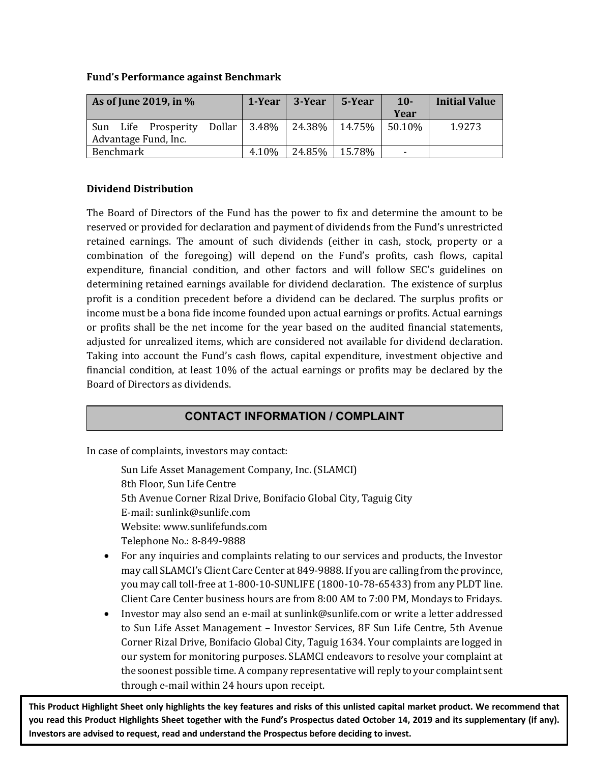#### **Fund's Performance against Benchmark**

| As of June 2019, in % |           |                                                               | 1-Year | $\vert$ 3-Year | 5-Year        | $10 -$ | <b>Initial Value</b> |        |
|-----------------------|-----------|---------------------------------------------------------------|--------|----------------|---------------|--------|----------------------|--------|
|                       |           |                                                               |        |                |               |        | Year                 |        |
|                       |           | Sun Life Prosperity Dollar   3.48%   24.38%   14.75%   50.10% |        |                |               |        |                      | 1.9273 |
|                       |           | Advantage Fund, Inc.                                          |        |                |               |        |                      |        |
|                       | Benchmark |                                                               |        | 4.10%          | 24.85% 15.78% |        | ÷                    |        |

#### **Dividend Distribution**

The Board of Directors of the Fund has the power to fix and determine the amount to be reserved or provided for declaration and payment of dividends from the Fund's unrestricted retained earnings. The amount of such dividends (either in cash, stock, property or a combination of the foregoing) will depend on the Fund's profits, cash flows, capital expenditure, financial condition, and other factors and will follow SEC's guidelines on determining retained earnings available for dividend declaration. The existence of surplus profit is a condition precedent before a dividend can be declared. The surplus profits or income must be a bona fide income founded upon actual earnings or profits. Actual earnings or profits shall be the net income for the year based on the audited financial statements, adjusted for unrealized items, which are considered not available for dividend declaration. Taking into account the Fund's cash flows, capital expenditure, investment objective and financial condition, at least 10% of the actual earnings or profits may be declared by the Board of Directors as dividends.

# **CONTACT INFORMATION / COMPLAINT**

In case of complaints, investors may contact:

Sun Life Asset Management Company, Inc. (SLAMCI) 8th Floor, Sun Life Centre 5th Avenue Corner Rizal Drive, Bonifacio Global City, Taguig City E-mail: sunlink@sunlife.com Website: www.sunlifefunds.com Telephone No.: 8-849-9888

- For any inquiries and complaints relating to our services and products, the Investor may call SLAMCI's Client Care Center at 849-9888. If you are calling from the province, you may call toll-free at 1-800-10-SUNLIFE (1800-10-78-65433) from any PLDT line. Client Care Center business hours are from 8:00 AM to 7:00 PM, Mondays to Fridays.
- Investor may also send an e-mail at sunlink@sunlife.com or write a letter addressed to Sun Life Asset Management – Investor Services, 8F Sun Life Centre, 5th Avenue Corner Rizal Drive, Bonifacio Global City, Taguig 1634. Your complaints are logged in our system for monitoring purposes. SLAMCI endeavors to resolve your complaint at the soonest possible time. A company representative will reply to your complaint sent through e-mail within 24 hours upon receipt.